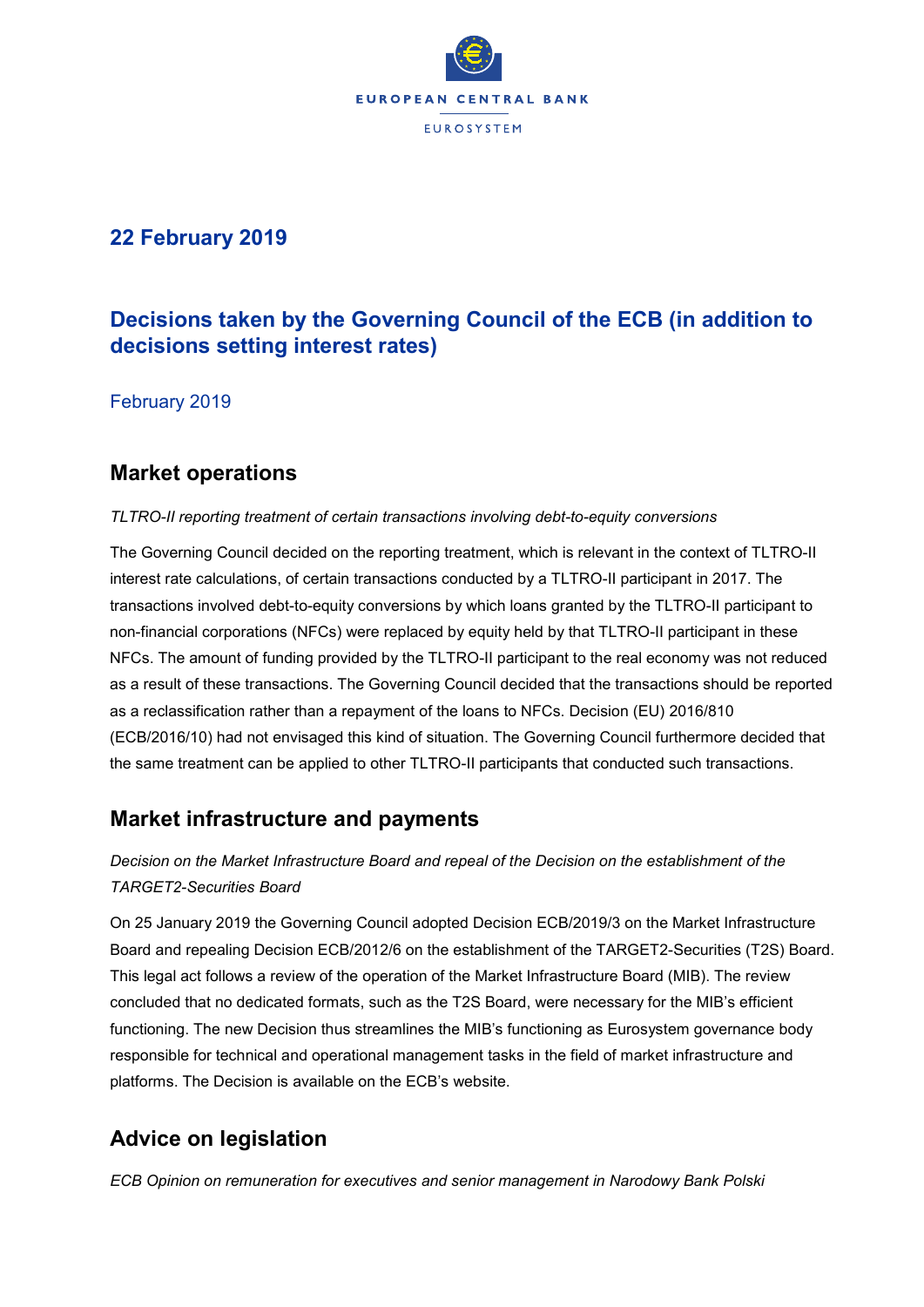

# **22 February 2019**

# **Decisions taken by the Governing Council of the ECB (in addition to decisions setting interest rates)**

February 2019

### **Market operations**

#### *TLTRO-II reporting treatment of certain transactions involving debt-to-equity conversions*

The Governing Council decided on the reporting treatment, which is relevant in the context of TLTRO-II interest rate calculations, of certain transactions conducted by a TLTRO-II participant in 2017. The transactions involved debt-to-equity conversions by which loans granted by the TLTRO-II participant to non-financial corporations (NFCs) were replaced by equity held by that TLTRO-II participant in these NFCs. The amount of funding provided by the TLTRO-II participant to the real economy was not reduced as a result of these transactions. The Governing Council decided that the transactions should be reported as a reclassification rather than a repayment of the loans to NFCs. Decision (EU) 2016/810 (ECB/2016/10) had not envisaged this kind of situation. The Governing Council furthermore decided that the same treatment can be applied to other TLTRO-II participants that conducted such transactions.

# **Market infrastructure and payments**

### *Decision on the Market Infrastructure Board and repeal of the Decision on the establishment of the TARGET2-Securities Board*

On 25 January 2019 the Governing Council adopted Decision ECB/2019/3 on the Market Infrastructure Board and repealing Decision ECB/2012/6 on the establishment of the TARGET2-Securities (T2S) Board. This legal act follows a review of the operation of the Market Infrastructure Board (MIB). The review concluded that no dedicated formats, such as the T2S Board, were necessary for the MIB's efficient functioning. The new Decision thus streamlines the MIB's functioning as Eurosystem governance body responsible for technical and operational management tasks in the field of market infrastructure and platforms. The Decision is available on the ECB's website.

# **Advice on legislation**

*ECB Opinion on remuneration for executives and senior management in Narodowy Bank Polski*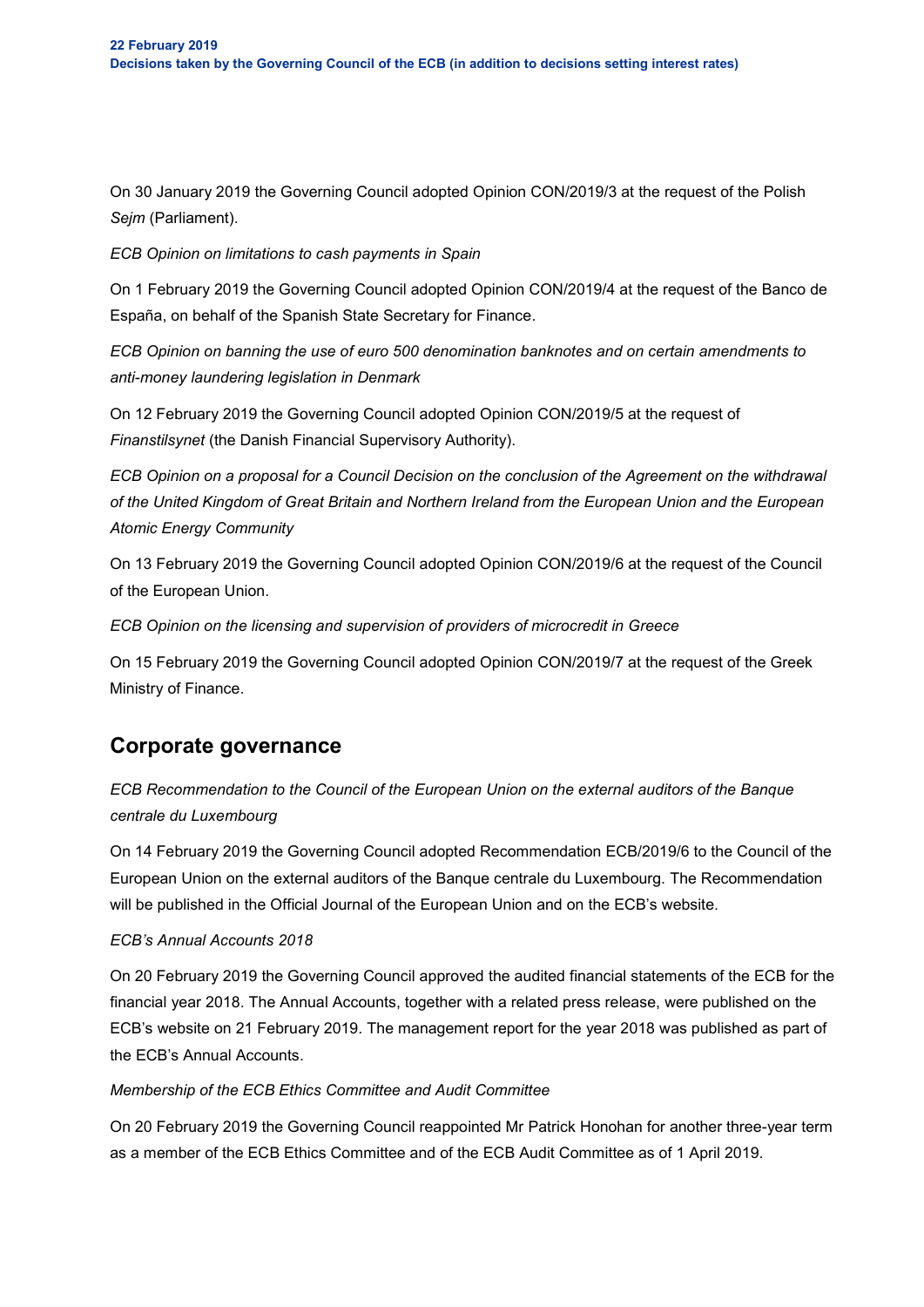On 30 January 2019 the Governing Council adopted Opinion CON/2019/3 at the request of the Polish *Sejm* (Parliament).

*ECB Opinion on limitations to cash payments in Spain*

On 1 February 2019 the Governing Council adopted Opinion CON/2019/4 at the request of the Banco de España, on behalf of the Spanish State Secretary for Finance.

*ECB Opinion on banning the use of euro 500 denomination banknotes and on certain amendments to anti-money laundering legislation in Denmark*

On 12 February 2019 the Governing Council adopted Opinion CON/2019/5 at the request of *Finanstilsynet* (the Danish Financial Supervisory Authority).

*ECB Opinion on a proposal for a Council Decision on the conclusion of the Agreement on the withdrawal of the United Kingdom of Great Britain and Northern Ireland from the European Union and the European Atomic Energy Community*

On 13 February 2019 the Governing Council adopted Opinion CON/2019/6 at the request of the Council of the European Union.

*ECB Opinion on the licensing and supervision of providers of microcredit in Greece*

On 15 February 2019 the Governing Council adopted Opinion CON/2019/7 at the request of the Greek Ministry of Finance.

# **Corporate governance**

*ECB Recommendation to the Council of the European Union on the external auditors of the Banque centrale du Luxembourg*

On 14 February 2019 the Governing Council adopted Recommendation ECB/2019/6 to the Council of the European Union on the external auditors of the Banque centrale du Luxembourg. The Recommendation will be published in the Official Journal of the European Union and on the ECB's website.

#### *ECB's Annual Accounts 2018*

On 20 February 2019 the Governing Council approved the audited financial statements of the ECB for the financial year 2018. The Annual Accounts, together with a related press release, were published on the ECB's website on 21 February 2019. The management report for the year 2018 was published as part of the ECB's Annual Accounts.

#### *Membership of the ECB Ethics Committee and Audit Committee*

On 20 February 2019 the Governing Council reappointed Mr Patrick Honohan for another three-year term as a member of the ECB Ethics Committee and of the ECB Audit Committee as of 1 April 2019.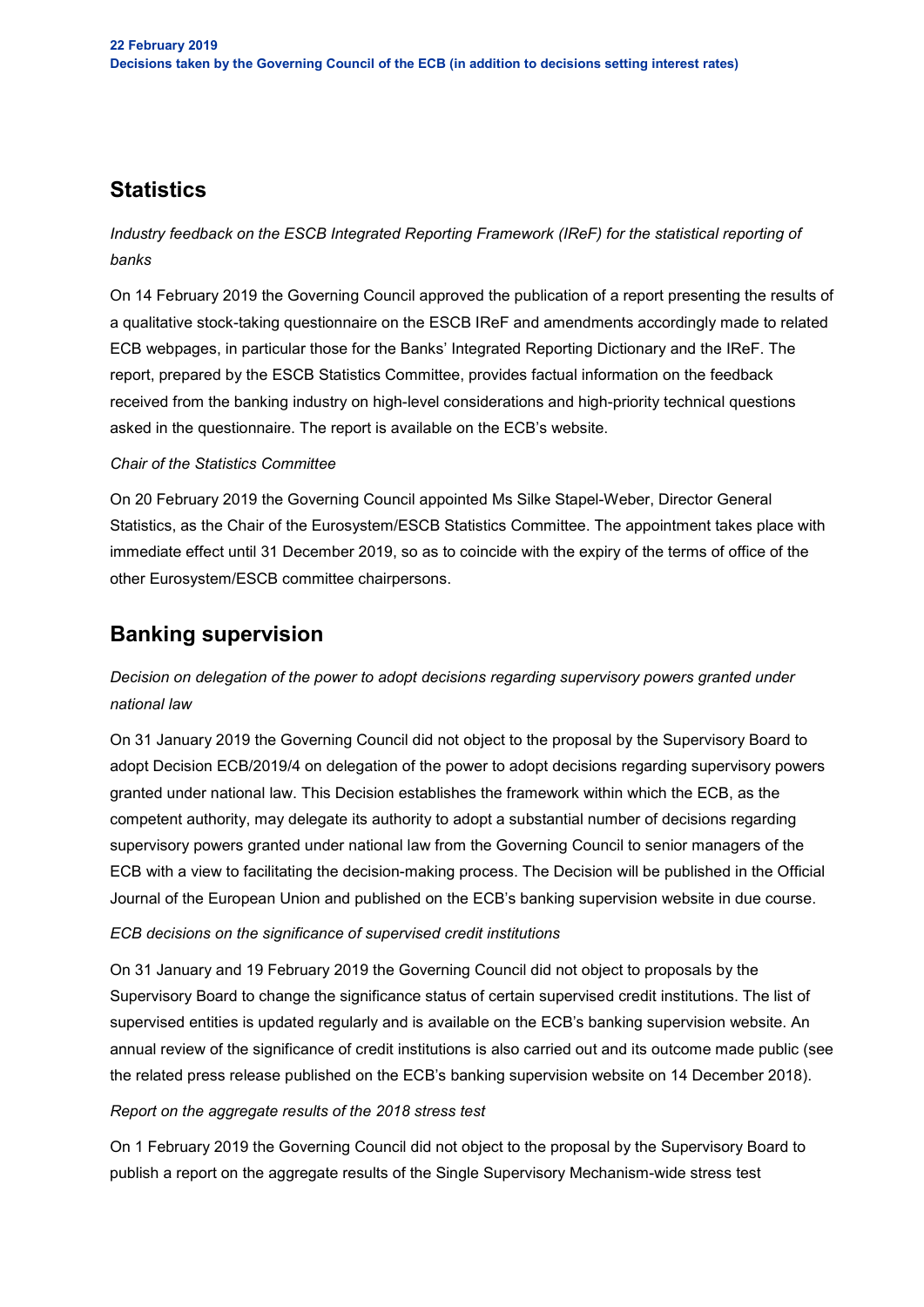# **Statistics**

*Industry feedback on the ESCB Integrated Reporting Framework (IReF) for the statistical reporting of banks*

On 14 February 2019 the Governing Council approved the publication of a report presenting the results of a qualitative stock-taking questionnaire on the ESCB IReF and amendments accordingly made to related ECB webpages, in particular those for the Banks' Integrated Reporting Dictionary and the IReF. The report, prepared by the ESCB Statistics Committee, provides factual information on the feedback received from the banking industry on high-level considerations and high-priority technical questions asked in the questionnaire. The report is available on the ECB's website.

#### *Chair of the Statistics Committee*

On 20 February 2019 the Governing Council appointed Ms Silke Stapel-Weber, Director General Statistics, as the Chair of the Eurosystem/ESCB Statistics Committee. The appointment takes place with immediate effect until 31 December 2019, so as to coincide with the expiry of the terms of office of the other Eurosystem/ESCB committee chairpersons.

# **Banking supervision**

### *Decision on delegation of the power to adopt decisions regarding supervisory powers granted under national law*

On 31 January 2019 the Governing Council did not object to the proposal by the Supervisory Board to adopt Decision ECB/2019/4 on delegation of the power to adopt decisions regarding supervisory powers granted under national law. This Decision establishes the framework within which the ECB, as the competent authority, may delegate its authority to adopt a substantial number of decisions regarding supervisory powers granted under national law from the Governing Council to senior managers of the ECB with a view to facilitating the decision-making process. The Decision will be published in the Official Journal of the European Union and published on the ECB's banking supervision website in due course.

#### *ECB decisions on the significance of supervised credit institutions*

On 31 January and 19 February 2019 the Governing Council did not object to proposals by the Supervisory Board to change the significance status of certain supervised credit institutions. The list of supervised entities is updated regularly and is available on the ECB's banking supervision website. An annual review of the significance of credit institutions is also carried out and its outcome made public (see the related press release published on the ECB's banking supervision website on 14 December 2018).

#### *Report on the aggregate results of the 2018 stress test*

On 1 February 2019 the Governing Council did not object to the proposal by the Supervisory Board to publish a report on the aggregate results of the Single Supervisory Mechanism-wide stress test